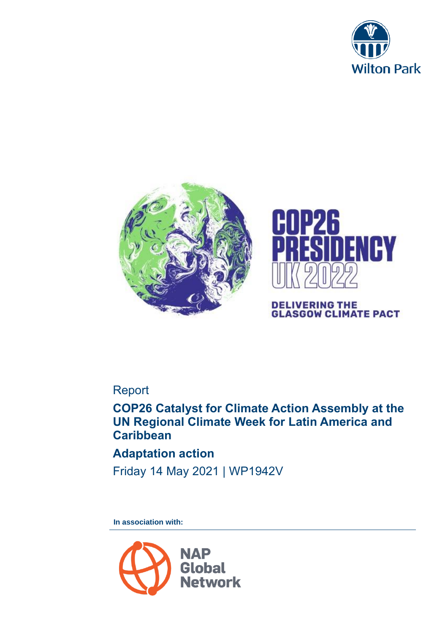





# **DELIVERING THE<br>GLASGOW CLIMATE PACT**

# Report

# **COP26 Catalyst for Climate Action Assembly at the UN Regional Climate Week for Latin America and Caribbean**

# **Adaptation action**

Friday 14 May 2021 | WP1942V

**In association with:**

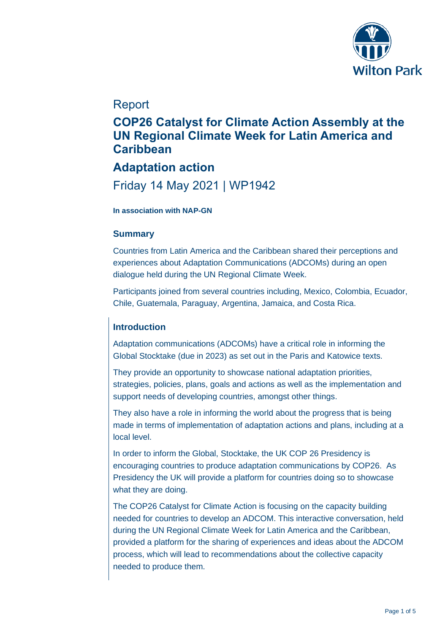

## Report

# **COP26 Catalyst for Climate Action Assembly at the UN Regional Climate Week for Latin America and Caribbean**

# **Adaptation action**

# Friday 14 May 2021 | WP1942

#### **In association with NAP-GN**

### **Summary**

Countries from Latin America and the Caribbean shared their perceptions and experiences about Adaptation Communications (ADCOMs) during an open dialogue held during the UN Regional Climate Week.

Participants joined from several countries including, Mexico, Colombia, Ecuador, Chile, Guatemala, Paraguay, Argentina, Jamaica, and Costa Rica.

### **Introduction**

Adaptation communications (ADCOMs) have a critical role in informing the Global Stocktake (due in 2023) as set out in the Paris and Katowice texts.

They provide an opportunity to showcase national adaptation priorities, strategies, policies, plans, goals and actions as well as the implementation and support needs of developing countries, amongst other things.

They also have a role in informing the world about the progress that is being made in terms of implementation of adaptation actions and plans, including at a local level.

In order to inform the Global, Stocktake, the UK COP 26 Presidency is encouraging countries to produce adaptation communications by COP26. As Presidency the UK will provide a platform for countries doing so to showcase what they are doing.

The COP26 Catalyst for Climate Action is focusing on the capacity building needed for countries to develop an ADCOM. This interactive conversation, held during the UN Regional Climate Week for Latin America and the Caribbean, provided a platform for the sharing of experiences and ideas about the ADCOM process, which will lead to recommendations about the collective capacity needed to produce them.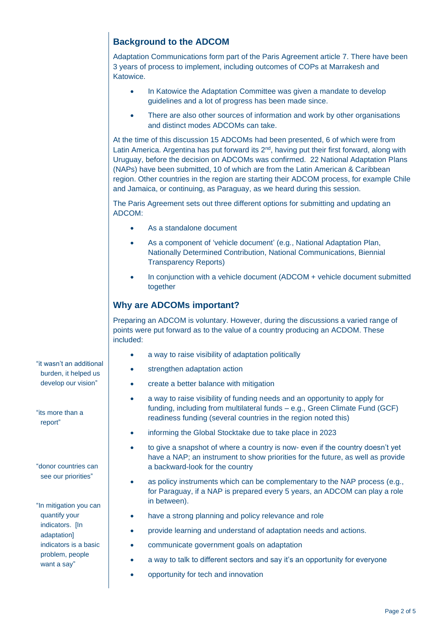### **Background to the ADCOM**

Adaptation Communications form part of the Paris Agreement article 7. There have been 3 years of process to implement, including outcomes of COPs at Marrakesh and Katowice.

- In Katowice the Adaptation Committee was given a mandate to develop guidelines and a lot of progress has been made since.
- There are also other sources of information and work by other organisations and distinct modes ADCOMs can take.

At the time of this discussion 15 ADCOMs had been presented, 6 of which were from Latin America. Argentina has put forward its  $2<sup>nd</sup>$ , having put their first forward, along with Uruguay, before the decision on ADCOMs was confirmed. 22 National Adaptation Plans (NAPs) have been submitted, 10 of which are from the Latin American & Caribbean region. Other countries in the region are starting their ADCOM process, for example Chile and Jamaica, or continuing, as Paraguay, as we heard during this session.

The Paris Agreement sets out three different options for submitting and updating an ADCOM:

- As a standalone document
- As a component of 'vehicle document' (e.g., National Adaptation Plan, Nationally Determined Contribution, National Communications, Biennial Transparency Reports)
- In conjunction with a vehicle document (ADCOM + vehicle document submitted together

#### **Why are ADCOMs important?**

Preparing an ADCOM is voluntary. However, during the discussions a varied range of points were put forward as to the value of a country producing an ACDOM. These included:

- a way to raise visibility of adaptation politically
- strengthen adaptation action
- create a better balance with mitigation
- a way to raise visibility of funding needs and an opportunity to apply for funding, including from multilateral funds – e.g., Green Climate Fund (GCF) readiness funding (several countries in the region noted this)
- informing the Global Stocktake due to take place in 2023
- to give a snapshot of where a country is now- even if the country doesn't yet have a NAP; an instrument to show priorities for the future, as well as provide a backward-look for the country
- as policy instruments which can be complementary to the NAP process (e.g., for Paraguay, if a NAP is prepared every 5 years, an ADCOM can play a role in between).
- have a strong planning and policy relevance and role
- provide learning and understand of adaptation needs and actions.
- communicate government goals on adaptation
- a way to talk to different sectors and say it's an opportunity for everyone
- opportunity for tech and innovation

"it wasn't an additional burden, it helped us develop our vision"

"its more than a report"

"donor countries can see our priorities"

"In mitigation you can quantify your indicators. [In adaptation] indicators is a basic problem, people want a say"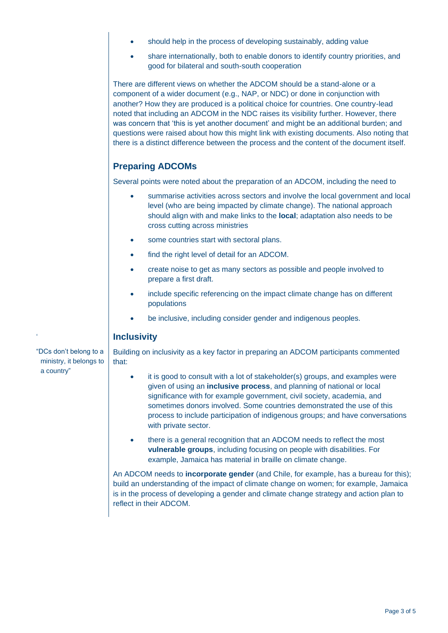- should help in the process of developing sustainably, adding value
- share internationally, both to enable donors to identify country priorities, and good for bilateral and south-south cooperation

There are different views on whether the ADCOM should be a stand-alone or a component of a wider document (e.g., NAP, or NDC) or done in conjunction with another? How they are produced is a political choice for countries. One country-lead noted that including an ADCOM in the NDC raises its visibility further. However, there was concern that 'this is yet another document' and might be an additional burden; and questions were raised about how this might link with existing documents. Also noting that there is a distinct difference between the process and the content of the document itself.

### **Preparing ADCOMs**

Several points were noted about the preparation of an ADCOM, including the need to

- summarise activities across sectors and involve the local government and local level (who are being impacted by climate change). The national approach should align with and make links to the **local**; adaptation also needs to be cross cutting across ministries
- some countries start with sectoral plans.
- find the right level of detail for an ADCOM.
- create noise to get as many sectors as possible and people involved to prepare a first draft.
- include specific referencing on the impact climate change has on different populations
- be inclusive, including consider gender and indigenous peoples.

### **Inclusivity**

Building on inclusivity as a key factor in preparing an ADCOM participants commented that:

- it is good to consult with a lot of stakeholder(s) groups, and examples were given of using an **inclusive process**, and planning of national or local significance with for example government, civil society, academia, and sometimes donors involved. Some countries demonstrated the use of this process to include participation of indigenous groups; and have conversations with private sector.
- there is a general recognition that an ADCOM needs to reflect the most **vulnerable groups**, including focusing on people with disabilities. For example, Jamaica has material in braille on climate change.

An ADCOM needs to **incorporate gender** (and Chile, for example, has a bureau for this); build an understanding of the impact of climate change on women; for example, Jamaica is in the process of developing a gender and climate change strategy and action plan to reflect in their ADCOM.

"DCs don't belong to a ministry, it belongs to a country"

'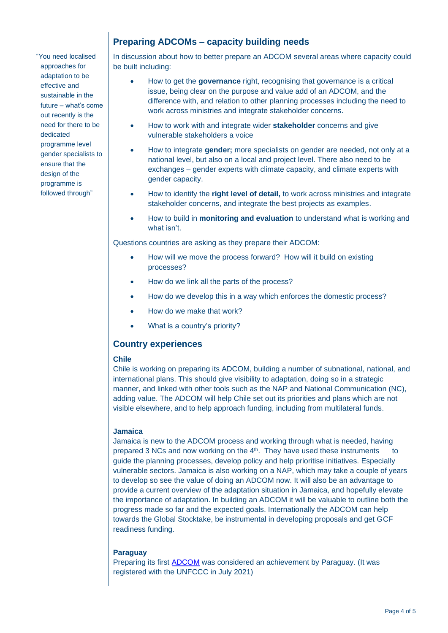"You need localised approaches for adaptation to be effective and sustainable in the future – what's come out recently is the need for there to be dedicated programme level gender specialists to ensure that the design of the programme is followed through"

### **Preparing ADCOMs – capacity building needs**

In discussion about how to better prepare an ADCOM several areas where capacity could be built including:

- How to get the **governance** right, recognising that governance is a critical issue, being clear on the purpose and value add of an ADCOM, and the difference with, and relation to other planning processes including the need to work across ministries and integrate stakeholder concerns.
- How to work with and integrate wider **stakeholder** concerns and give vulnerable stakeholders a voice
- How to integrate **gender;** more specialists on gender are needed, not only at a national level, but also on a local and project level. There also need to be exchanges – gender experts with climate capacity, and climate experts with gender capacity.
- How to identify the **right level of detail,** to work across ministries and integrate stakeholder concerns, and integrate the best projects as examples.
- How to build in **monitoring and evaluation** to understand what is working and what isn't.

Questions countries are asking as they prepare their ADCOM:

- How will we move the process forward? How will it build on existing processes?
- How do we link all the parts of the process?
- How do we develop this in a way which enforces the domestic process?
- How do we make that work?
- What is a country's priority?

#### **Country experiences**

#### **Chile**

Chile is working on preparing its ADCOM, building a number of subnational, national, and international plans. This should give visibility to adaptation, doing so in a strategic manner, and linked with other tools such as the NAP and National Communication (NC), adding value. The ADCOM will help Chile set out its priorities and plans which are not visible elsewhere, and to help approach funding, including from multilateral funds.

#### **Jamaica**

Jamaica is new to the ADCOM process and working through what is needed, having prepared 3 NCs and now working on the 4<sup>th</sup>. They have used these instruments to guide the planning processes, develop policy and help prioritise initiatives. Especially vulnerable sectors. Jamaica is also working on a NAP, which may take a couple of years to develop so see the value of doing an ADCOM now. It will also be an advantage to provide a current overview of the adaptation situation in Jamaica, and hopefully elevate the importance of adaptation. In building an ADCOM it will be valuable to outline both the progress made so far and the expected goals. Internationally the ADCOM can help towards the Global Stocktake, be instrumental in developing proposals and get GCF readiness funding.

#### **Paraguay**

Preparing its first [ADCOM](https://www4.unfccc.int/sites/ndcstaging/PublishedDocuments/Paraguay%20First/ACTUALIZACI%C3%93N%20DE%20LA%20NDC%20DEL%20PARAGUAY_Versi%C3%B3n%20Final.pdf) was considered an achievement by Paraguay. (It was registered with the UNFCCC in July 2021)